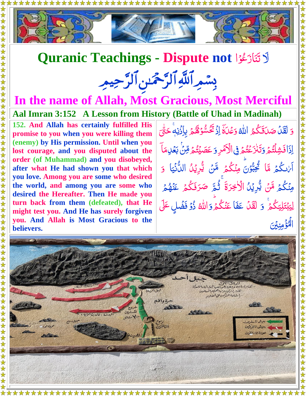

## **Quranic Teachings - Dispute not** ا ا لَ و ع <u>أ</u> <u>مُ</u> َ از َ ن َ ت

## بِسْمِرِ اللَّهِ الرَّحْمَٰنِ الرَّحِيمِ

## **In the name of Allah, Most Gracious, Most Merciful Aal Imran 3:152 A Lesson from History (Battle of Uhad in Madinah)**

**152. And Allah has certainly fulfilled His promise to you when you were killing them (enemy) by His permission. Until when you lost courage, and you disputed about the order (of Muhammad) and you disobeyed, after what He had shown you that which you love. Among you are some who desired the world, and among you are some who desired the Hereafter. Then He made you turn back from them (defeated), that He might test you. And He has surely forgiven you. And Allah is Most Gracious to the believers.** 

دَ لَقَلْ  $\tilde{\mathcal{L}}$ صَلَقَكُمُ اللّٰهُ وَعَْلَةَ **ک** <u>مَ</u> j وَعۡلَٰٓةَ إِذۡ تَكُسُّوۡهُمۡ ۚ بِإِذۡنِهَۚ ا <u>أ</u> **شا** Ĩ ہ<br>گ لم<br>ك ز <u>ت</u> ځم ا ِ<br>اِذَا فَشِلْتُمْ ر<br>گ نو<br>گ <u>ُ</u><br>ا وَتَنْزَعَتُمَ فِى الْأَمَرِ ۔<br>ا ُمُّ<br>ُ ۡ ر<br>ٱ <u>ُ</u> وَ عَصَيْتُمُ <sup>و</sup>ِنْ بَعۡلِٰهَآ ر<br>گ ر<br>ا لَہٗ<br>ُ ֧֘  $\tilde{.}$ Ž á م<br>م م ہ<br>گ اً مٰالكُمْ مَّا َ ٮ ز  $\ddot{\hat{\bm{\lambda}}}$ <u>َ</u> ثُخِبُّوۡنَ مِنۡكُمۡ مَّنۡ يُّرِیۡلُ اللَّٰنۡیَا <u>أ</u> نا<br>پو  $\ddot{\phantom{0}}$ ۔<br>گ  $\frac{1}{2}$  $\ddot{\bm{\delta}}$ <u>ُ</u> <u>ئی او</u> لیک<br>من ِ<br>پيد اللُّأَنِّيَا ن<br>ما ت<br>با <u>ُ</u> و ۔<br>گ مِنۡكُمۡ مَّنۡ يُّرِيۡلُ الۡاَخِرَةَ ۚ ثُمَّ صَرَفَكُمۡ عَنۡهُمۡ ۖ  $\tilde{\cdot}$  $\ddot{\bm{\delta}}$ <u>أ</u> <u>ئى</u><br>ئىللا تم<br>⊥ ر<br>گ ۔<br>گ  $\overline{\mathcal{L}}$ ن<br>مُ ر<br>گ ؚ<br>ؽػؙۮ*ؘ* ي ِ ل َ ت ب لَ<br>ا ِ<br>ِ ڶۣؾڹڹڶۣؾػ۠ؽٙۨ وَ لَقَلْ عَفَا عَنْكُمْ ہ<br>گ َ وَ اللّٰہُ ذُوۡ فَضۡلٍ عَلَى <u>مَ</u> <u>ُ</u> َۡي ۡمِ ؤ اۡۡلنِ الم<br>الم